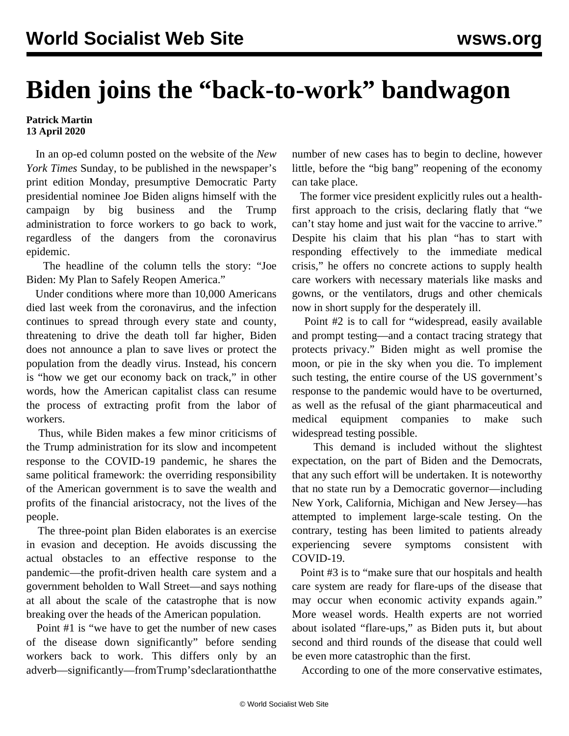## **Biden joins the "back-to-work" bandwagon**

## **Patrick Martin 13 April 2020**

 In an op-ed column posted on the website of the *New York Times* Sunday, to be published in the newspaper's print edition Monday, presumptive Democratic Party presidential nominee Joe Biden aligns himself with the campaign by big business and the Trump administration to force workers to go back to work, regardless of the dangers from the coronavirus epidemic.

 The headline of the column tells the story: "Joe Biden: My Plan to Safely Reopen America."

 Under conditions where more than 10,000 Americans died last week from the coronavirus, and the infection continues to spread through every state and county, threatening to drive the death toll far higher, Biden does not announce a plan to save lives or protect the population from the deadly virus. Instead, his concern is "how we get our economy back on track," in other words, how the American capitalist class can resume the process of extracting profit from the labor of workers.

 Thus, while Biden makes a few minor criticisms of the Trump administration for its slow and incompetent response to the COVID-19 pandemic, he shares the same political framework: the overriding responsibility of the American government is to save the wealth and profits of the financial aristocracy, not the lives of the people.

 The three-point plan Biden elaborates is an exercise in evasion and deception. He avoids discussing the actual obstacles to an effective response to the pandemic—the profit-driven health care system and a government beholden to Wall Street—and says nothing at all about the scale of the catastrophe that is now breaking over the heads of the American population.

 Point #1 is "we have to get the number of new cases of the disease down significantly" before sending workers back to work. This differs only by an adverb—significantly—from Trump's declaration that the number of new cases has to begin to decline, however little, before the "big bang" reopening of the economy can take place.

 The former vice president explicitly rules out a healthfirst approach to the crisis, declaring flatly that "we can't stay home and just wait for the vaccine to arrive." Despite his claim that his plan "has to start with responding effectively to the immediate medical crisis," he offers no concrete actions to supply health care workers with necessary materials like masks and gowns, or the ventilators, drugs and other chemicals now in short supply for the desperately ill.

 Point #2 is to call for "widespread, easily available and prompt testing—and a contact tracing strategy that protects privacy." Biden might as well promise the moon, or pie in the sky when you die. To implement such testing, the entire course of the US government's response to the pandemic would have to be overturned, as well as the refusal of the giant pharmaceutical and medical equipment companies to make such widespread testing possible.

 This demand is included without the slightest expectation, on the part of Biden and the Democrats, that any such effort will be undertaken. It is noteworthy that no state run by a Democratic governor—including New York, California, Michigan and New Jersey—has attempted to implement large-scale testing. On the contrary, testing has been limited to patients already experiencing severe symptoms consistent with COVID-19.

 Point #3 is to "make sure that our hospitals and health care system are ready for flare-ups of the disease that may occur when economic activity expands again." More weasel words. Health experts are not worried about isolated "flare-ups," as Biden puts it, but about second and third rounds of the disease that could well be even more catastrophic than the first.

According to one of the more conservative estimates,